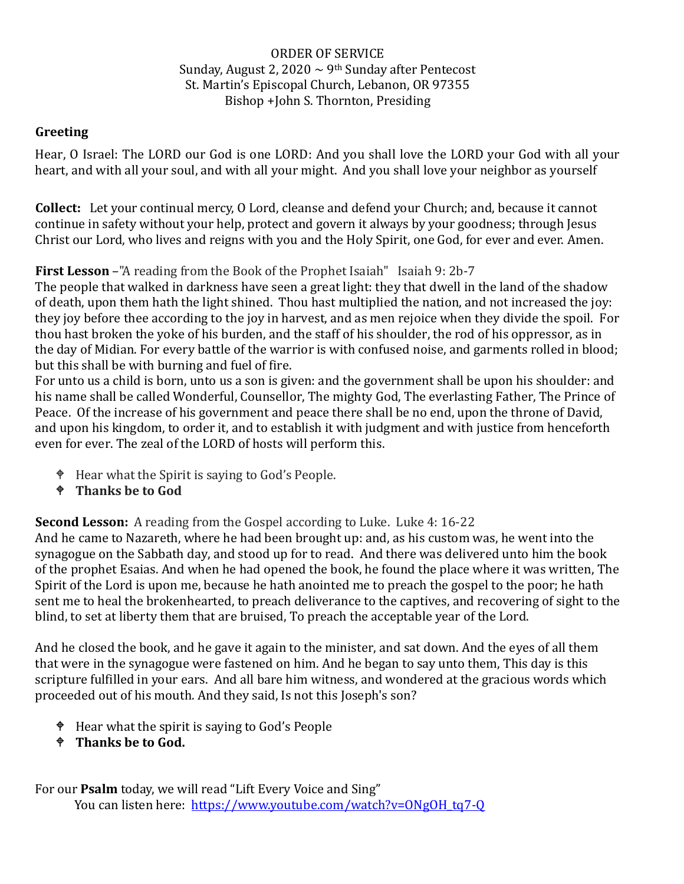## ORDER OF SERVICE Sunday, August 2, 2020  $\sim$  9<sup>th</sup> Sunday after Pentecost St. Martin's Episcopal Church, Lebanon, OR 97355 Bishop +John S. Thornton, Presiding

## **Greeting**

Hear, O Israel: The LORD our God is one LORD: And you shall love the LORD your God with all your heart, and with all your soul, and with all your might. And you shall love your neighbor as yourself

**Collect:** Let your continual mercy, O Lord, cleanse and defend your Church; and, because it cannot continue in safety without your help, protect and govern it always by your goodness; through Jesus Christ our Lord, who lives and reigns with you and the Holy Spirit, one God, for ever and ever. Amen.

**First Lesson** –"A reading from the Book of the Prophet Isaiah" Isaiah 9: 2b-7

The people that walked in darkness have seen a great light: they that dwell in the land of the shadow of death, upon them hath the light shined. Thou hast multiplied the nation, and not increased the joy: they joy before thee according to the joy in harvest, and as men rejoice when they divide the spoil. [For](https://www.kingjamesbibleonline.org/Isaiah-9-4/) thou hast broken the yoke of his burden, and the staff of his shoulder, the rod of his [oppressor,](https://www.kingjamesbibleonline.org/Isaiah-9-4/) as in the day of [Midian.](https://www.kingjamesbibleonline.org/Isaiah-9-4/) For every battle of the warrior is with confused noise, and garments rolled in blood; but this shall be with burning and fuel of fire.

For unto us a child is born, unto us a son is given: and the government shall be upon his shoulder: and his name shall be called Wonderful, Counsellor, The mighty God, The everlasting Father, The Prince of Peace. Of the increase of his government and peace there shall be no end, upon the throne of David, and upon his kingdom, to order it, and to establish it with judgment and with justice from henceforth even for ever. The zeal of the LORD of hosts will perform this.

- Hear what the Spirit is saying to God's People.
- **Thanks be to God**

**Second Lesson:** A reading from the Gospel according to Luke. Luke 4: 16-22

And he came to Nazareth, where he had been brought up: and, as his custom was, he went into the synagogue on the Sabbath day, and stood up for to read. And there was delivered unto him the book of the prophet Esaias. And when he had opened the book, he found the place where it was written, The Spirit of the Lord is upon me, because he hath anointed me to preach the gospel to the poor; he hath sent me to heal the brokenhearted, to preach deliverance to the captives, and recovering of sight to the blind, to set at liberty them that are bruised, To preach the acceptable year of the Lord.

And he closed the book, and he gave it again to the minister, and sat down. And the eyes of all them that were in the synagogue were fastened on him. And he began to say unto them, This day is this scripture fulfilled in your ears. And all bare him witness, and wondered at the gracious words which proceeded out of his mouth. And they said, Is not this Joseph's son?

- $\bullet$  Hear what the spirit is saying to God's People
- **Thanks be to God.**

For our **Psalm** today, we will read "Lift Every Voice and Sing" You can listen here: [https://www.youtube.com/watch?v=ONgOH\\_tq7-Q](https://www.youtube.com/watch?v=ONgOH_tq7-Q)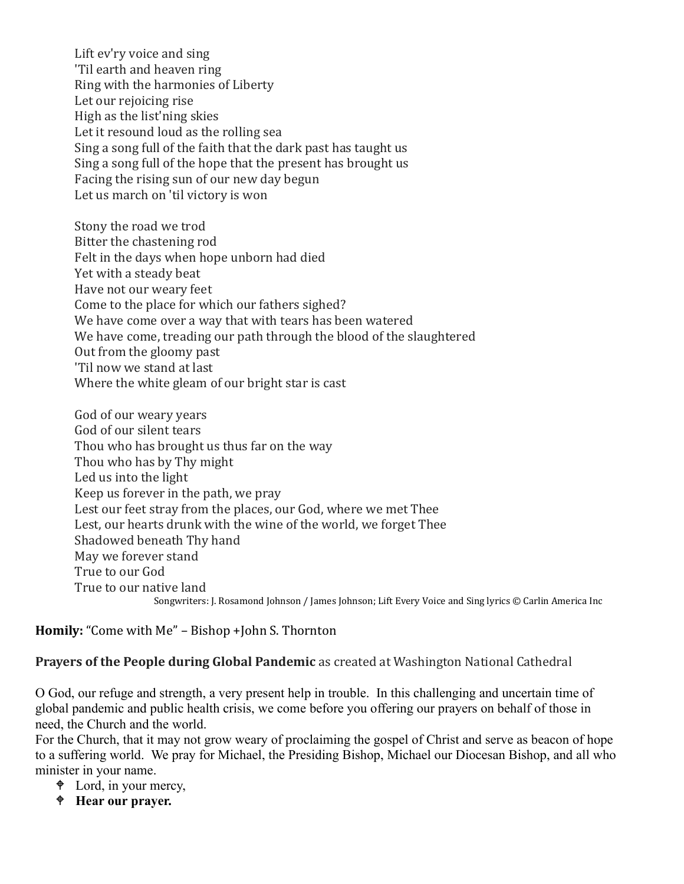Lift ev'ry voice and sing 'Til earth and heaven ring Ring with the harmonies of Liberty Let our rejoicing rise High as the list'ning skies Let it resound loud as the rolling sea Sing a song full of the faith that the dark past has taught us Sing a song full of the hope that the present has brought us Facing the rising sun of our new day begun Let us march on 'til victory is won

Stony the road we trod Bitter the chastening rod Felt in the days when hope unborn had died Yet with a steady beat Have not our weary feet Come to the place for which our fathers sighed? We have come over a way that with tears has been watered We have come, treading our path through the blood of the slaughtered Out from the gloomy past 'Til now we stand at last Where the white gleam of our bright star is cast

God of our weary years God of our silent tears Thou who has brought us thus far on the way Thou who has by Thy might Led us into the light Keep us forever in the path, we pray Lest our feet stray from the places, our God, where we met Thee Lest, our hearts drunk with the wine of the world, we forget Thee Shadowed beneath Thy hand May we forever stand True to our God True to our native land Songwriters: J. Rosamond Johnson / James Johnson; Lift Every Voice and Sing lyrics © Carlin America Inc

**Homily:** "Come with Me" – Bishop +John S. Thornton

**Prayers of the People during Global Pandemic** as created at Washington National Cathedral

O God, our refuge and strength, a very present help in trouble. In this challenging and uncertain time of global pandemic and public health crisis, we come before you offering our prayers on behalf of those in need, the Church and the world.

For the Church, that it may not grow weary of proclaiming the gospel of Christ and serve as beacon of hope to a suffering world. We pray for Michael, the Presiding Bishop, Michael our Diocesan Bishop, and all who minister in your name.

- $\triangleleft$  Lord, in your mercy,
- **Hear our prayer.**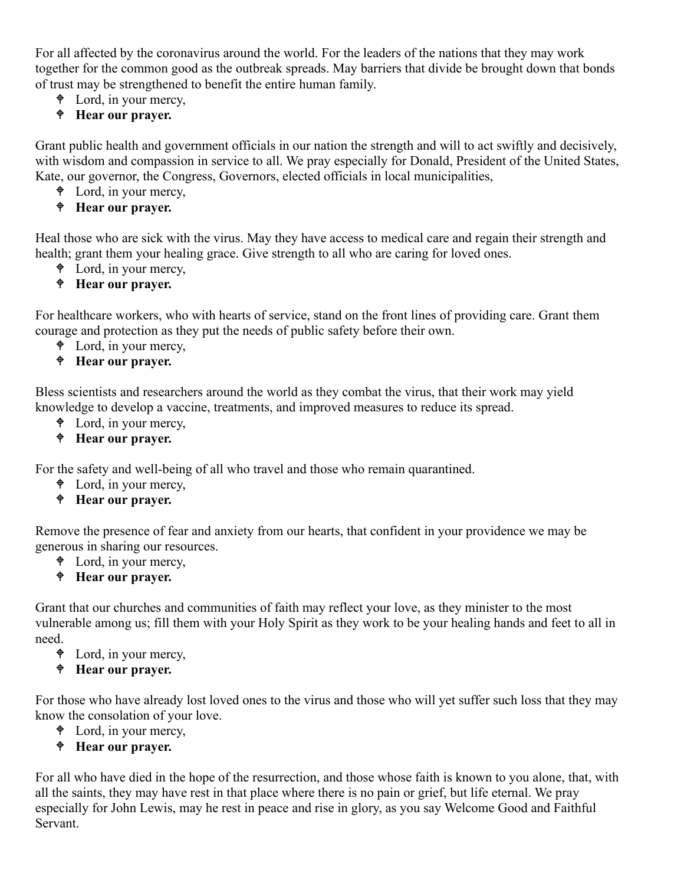For all affected by the coronavirus around the world. For the leaders of the nations that they may work together for the common good as the outbreak spreads. May barriers that divide be brought down that bonds of trust may be strengthened to benefit the entire human family.

- $\triangleleft$  Lord, in your mercy,
- **Hear our prayer.**

Grant public health and government officials in our nation the strength and will to act swiftly and decisively, with wisdom and compassion in service to all. We pray especially for Donald, President of the United States, Kate, our governor, the Congress, Governors, elected officials in local municipalities,

- Lord, in your mercy,
- **Hear our prayer.**

Heal those who are sick with the virus. May they have access to medical care and regain their strength and health; grant them your healing grace. Give strength to all who are caring for loved ones.

Lord, in your mercy,

# **Hear our prayer.**

For healthcare workers, who with hearts of service, stand on the front lines of providing care. Grant them courage and protection as they put the needs of public safety before their own.

- $\triangleleft$  Lord, in your mercy,
- **Hear our prayer.**

Bless scientists and researchers around the world as they combat the virus, that their work may yield knowledge to develop a vaccine, treatments, and improved measures to reduce its spread.

- Lord, in your mercy,
- **Hear our prayer.**

For the safety and well-being of all who travel and those who remain quarantined.

- Lord, in your mercy,
- **Hear our prayer.**

Remove the presence of fear and anxiety from our hearts, that confident in your providence we may be generous in sharing our resources.

 $\triangleleft$  Lord, in your mercy,

#### **Hear our prayer.**

Grant that our churches and communities of faith may reflect your love, as they minister to the most vulnerable among us; fill them with your Holy Spirit as they work to be your healing hands and feet to all in need.

- $\triangleleft$  Lord, in your mercy,
- **Hear our prayer.**

For those who have already lost loved ones to the virus and those who will yet suffer such loss that they may know the consolation of your love.

- Lord, in your mercy,
- **Hear our prayer.**

For all who have died in the hope of the resurrection, and those whose faith is known to you alone, that, with all the saints, they may have rest in that place where there is no pain or grief, but life eternal. We pray especially for John Lewis, may he rest in peace and rise in glory, as you say Welcome Good and Faithful Servant.